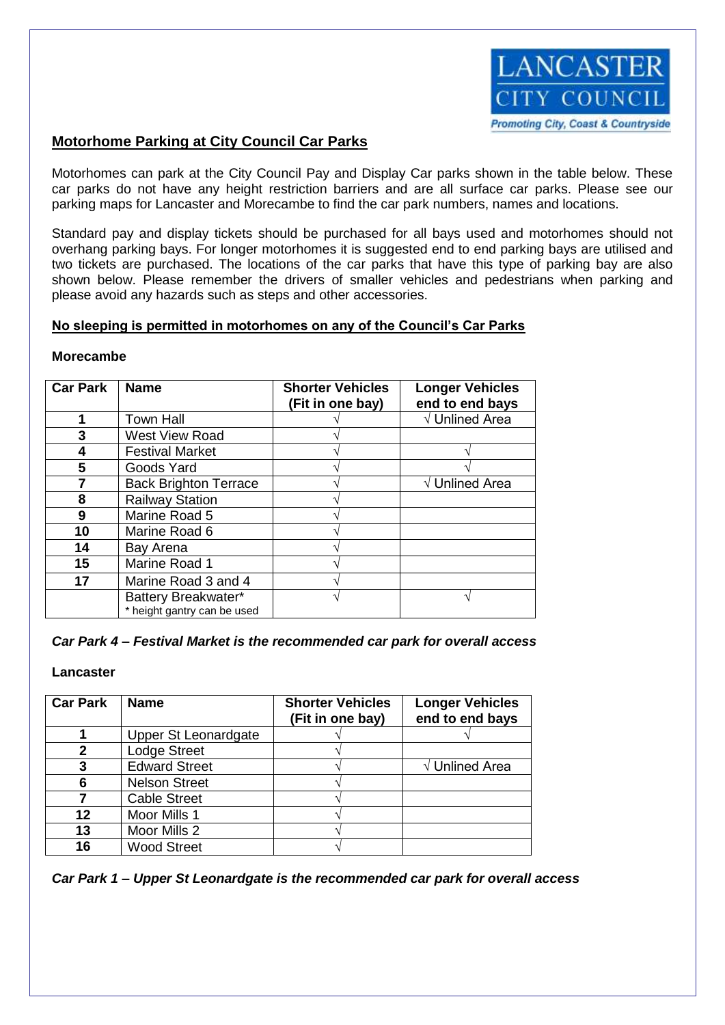

### **Motorhome Parking at City Council Car Parks**

Motorhomes can park at the City Council Pay and Display Car parks shown in the table below. These car parks do not have any height restriction barriers and are all surface car parks. Please see our parking maps for Lancaster and Morecambe to find the car park numbers, names and locations.

Standard pay and display tickets should be purchased for all bays used and motorhomes should not overhang parking bays. For longer motorhomes it is suggested end to end parking bays are utilised and two tickets are purchased. The locations of the car parks that have this type of parking bay are also shown below. Please remember the drivers of smaller vehicles and pedestrians when parking and please avoid any hazards such as steps and other accessories.

### **No sleeping is permitted in motorhomes on any of the Council's Car Parks**

### **Morecambe**

| <b>Car Park</b> | <b>Name</b>                  | <b>Shorter Vehicles</b><br>(Fit in one bay) | <b>Longer Vehicles</b><br>end to end bays |
|-----------------|------------------------------|---------------------------------------------|-------------------------------------------|
| 1               | <b>Town Hall</b>             |                                             | $\sqrt{}$ Unlined Area                    |
| 3               | <b>West View Road</b>        |                                             |                                           |
| 4               | <b>Festival Market</b>       |                                             |                                           |
| 5               | Goods Yard                   |                                             |                                           |
|                 | <b>Back Brighton Terrace</b> |                                             | $\sqrt{}$ Unlined Area                    |
| 8               | <b>Railway Station</b>       |                                             |                                           |
| 9               | Marine Road 5                |                                             |                                           |
| 10              | Marine Road 6                |                                             |                                           |
| 14              | Bay Arena                    |                                             |                                           |
| 15              | Marine Road 1                |                                             |                                           |
| 17              | Marine Road 3 and 4          |                                             |                                           |
|                 | Battery Breakwater*          |                                             |                                           |
|                 | * height gantry can be used  |                                             |                                           |

### *Car Park 4 – Festival Market is the recommended car park for overall access*

### **Lancaster**

| <b>Car Park</b> | <b>Name</b>          | <b>Shorter Vehicles</b><br>(Fit in one bay) | <b>Longer Vehicles</b><br>end to end bays |
|-----------------|----------------------|---------------------------------------------|-------------------------------------------|
|                 | Upper St Leonardgate |                                             |                                           |
| 2               | <b>Lodge Street</b>  |                                             |                                           |
| 3               | <b>Edward Street</b> |                                             | $\sqrt{}$ Unlined Area                    |
| 6               | <b>Nelson Street</b> |                                             |                                           |
|                 | <b>Cable Street</b>  |                                             |                                           |
| 12              | Moor Mills 1         |                                             |                                           |
| 13              | Moor Mills 2         |                                             |                                           |
| 16              | <b>Wood Street</b>   |                                             |                                           |

*Car Park 1 – Upper St Leonardgate is the recommended car park for overall access*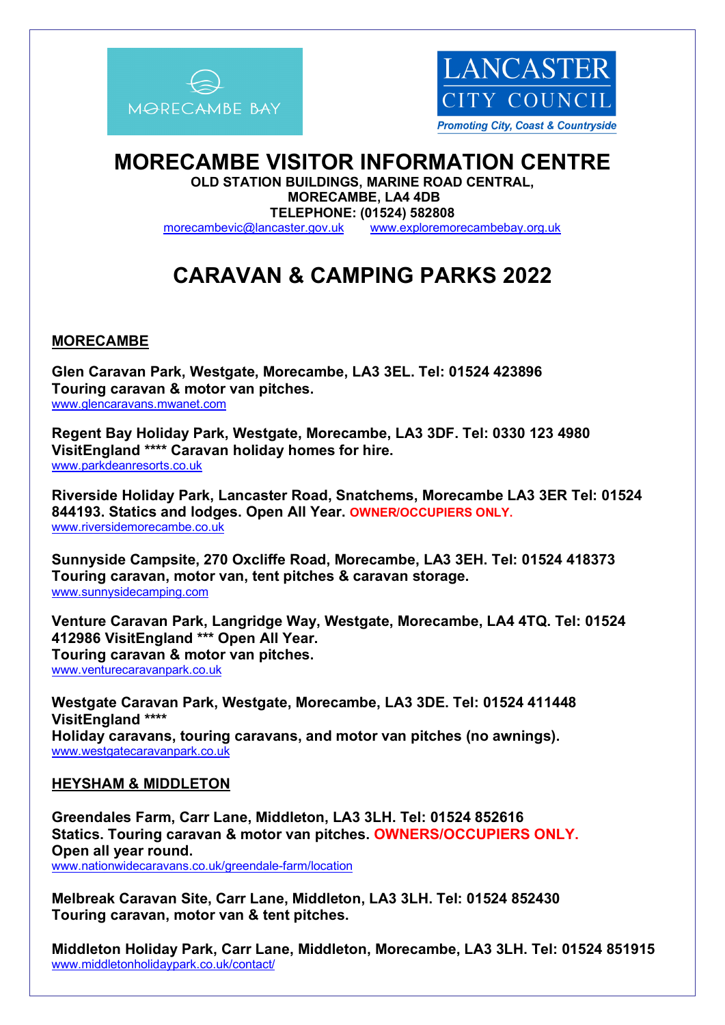



# **MORECAMBE VISITOR INFORMATION CENTRE**

**OLD STATION BUILDINGS, MARINE ROAD CENTRAL, MORECAMBE, LA4 4DB TELEPHONE: (01524) 582808** [morecambevic@lancaster.gov.uk](mailto:morecambevic@lancaster.gov.uk)[www.exploremorecambebay.org.uk](http://www.exploremorecambebay.org.uk/)

# **CARAVAN & CAMPING PARKS 2022**

# **MORECAMBE**

**Glen Caravan Park, Westgate, Morecambe, LA3 3EL. Tel: 01524 423896 Touring caravan & motor van pitches.**  [www.glencaravans.mwanet.com](http://www.glencaravans.mwanet.com/)

**Regent Bay Holiday Park, Westgate, Morecambe, LA3 3DF. Tel: 0330 123 4980 VisitEngland \*\*\*\* Caravan holiday homes for hire.**  www.parkdeanresorts.co.uk

**Riverside Holiday Park, Lancaster Road, Snatchems, Morecambe LA3 3ER Tel: 01524 844193. Statics and lodges. Open All Year. OWNER/OCCUPIERS ONLY.** [www.riversidemorecambe.co.uk](http://www.riversidemorecambe.co.uk/)

**Sunnyside Campsite, 270 Oxcliffe Road, Morecambe, LA3 3EH. Tel: 01524 418373 Touring caravan, motor van, tent pitches & caravan storage.**  www.sunnysidecamping.com

**Venture Caravan Park, Langridge Way, Westgate, Morecambe, LA4 4TQ. Tel: 01524 412986 VisitEngland \*\*\* Open All Year. Touring caravan & motor van pitches.** [www.venturecaravanpark.co.uk](http://www.venturecaravanpark.co.uk/)

**Westgate Caravan Park, Westgate, Morecambe, LA3 3DE. Tel: 01524 411448 VisitEngland \*\*\*\* Holiday caravans, touring caravans, and motor van pitches (no awnings).** [www.westgatecaravanpark.co.uk](http://www.westgatecaravanpark.co.uk/)

### **HEYSHAM & MIDDLETON**

**Greendales Farm, Carr Lane, Middleton, LA3 3LH. Tel: 01524 852616 Statics. Touring caravan & motor van pitches. OWNERS/OCCUPIERS ONLY. Open all year round.** www.nationwidecaravans.co.uk/greendale-farm/location

**Melbreak Caravan Site, Carr Lane, Middleton, LA3 3LH. Tel: 01524 852430 Touring caravan, motor van & tent pitches.** 

**Middleton Holiday Park, Carr Lane, Middleton, Morecambe, LA3 3LH. Tel: 01524 851915** www.middletonholidaypark.co.uk/contact/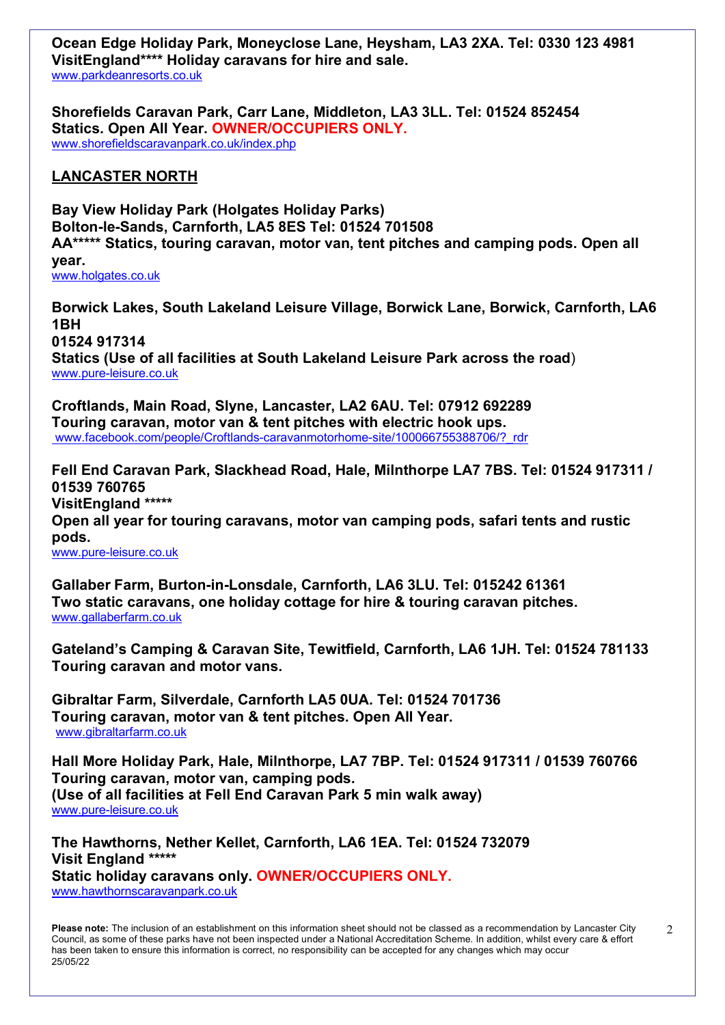**Ocean Edge Holiday Park, Moneyclose Lane, Heysham, LA3 2XA. Tel: 0330 123 4981 VisitEngland\*\*\*\* Holiday caravans for hire and sale.**  [www.parkdeanresorts.co.uk](http://www.parkdeanresorts.com/) 

**Shorefields Caravan Park, Carr Lane, Middleton, LA3 3LL. Tel: 01524 852454 Statics. Open All Year. OWNER/OCCUPIERS ONLY.** [www.shorefieldscaravanpark.co.uk/index.php](http://www.shorefieldscaravanpark.co.uk/index.php)

## **LANCASTER NORTH**

**Bay View Holiday Park (Holgates Holiday Parks) Bolton-le-Sands, Carnforth, LA5 8ES Tel: 01524 701508 AA\*\*\*\*\* Statics, touring caravan, motor van, tent pitches and camping pods. Open all year.** [www.holgates.co.uk](http://www.holgates.co.uk/) 

**Borwick Lakes, South Lakeland Leisure Village, Borwick Lane, Borwick, Carnforth, LA6 1BH 01524 917314 Statics (Use of all facilities at South Lakeland Leisure Park across the road**) [www.pure-leisure.co.uk](http://www.pure-leisure.co.uk/)

**Croftlands, Main Road, Slyne, Lancaster, LA2 6AU. Tel: 07912 692289 Touring caravan, motor van & tent pitches with electric hook ups.** www.facebook.com/people/Croftlands-caravanmotorhome-site/100066755388706/?\_rdr

**Fell End Caravan Park, Slackhead Road, Hale, Milnthorpe LA7 7BS. Tel: 01524 917311 / 01539 760765 VisitEngland \*\*\*\*\* Open all year for touring caravans, motor van camping pods, safari tents and rustic pods.** [www.pure-leisure.co.uk](http://www.pure-leisure.co.uk/)

**Gallaber Farm, Burton-in-Lonsdale, Carnforth, LA6 3LU. Tel: 015242 61361 Two static caravans, one holiday cottage for hire & touring caravan pitches.**  [www.gallaberfarm.co.uk](http://www.gallaberfarm.co.uk/)

**Gateland's Camping & Caravan Site, Tewitfield, Carnforth, LA6 1JH. Tel: 01524 781133 Touring caravan and motor vans.** 

**Gibraltar Farm, Silverdale, Carnforth LA5 0UA. Tel: 01524 701736 Touring caravan, motor van & tent pitches. Open All Year.**  www.gibraltarfarm.co.uk

**Hall More Holiday Park, Hale, Milnthorpe, LA7 7BP. Tel: 01524 917311 / 01539 760766 Touring caravan, motor van, camping pods. (Use of all facilities at Fell End Caravan Park 5 min walk away)**  [www.pure-leisure.co.uk](http://www.pure-leisure.co.uk/)

**The Hawthorns, Nether Kellet, Carnforth, LA6 1EA. Tel: 01524 732079 Visit England \*\*\*\*\* Static holiday caravans only. OWNER/OCCUPIERS ONLY.** [www.hawthornscaravanpark.co.uk](http://www.hawthornscaravanpark.co.uk/)

**Please note:** The inclusion of an establishment on this information sheet should not be classed as a recommendation by Lancaster City Council, as some of these parks have not been inspected under a National Accreditation Scheme. In addition, whilst every care & effort has been taken to ensure this information is correct, no responsibility can be accepted for any changes which may occur 25/05/22

 $\mathcal{D}$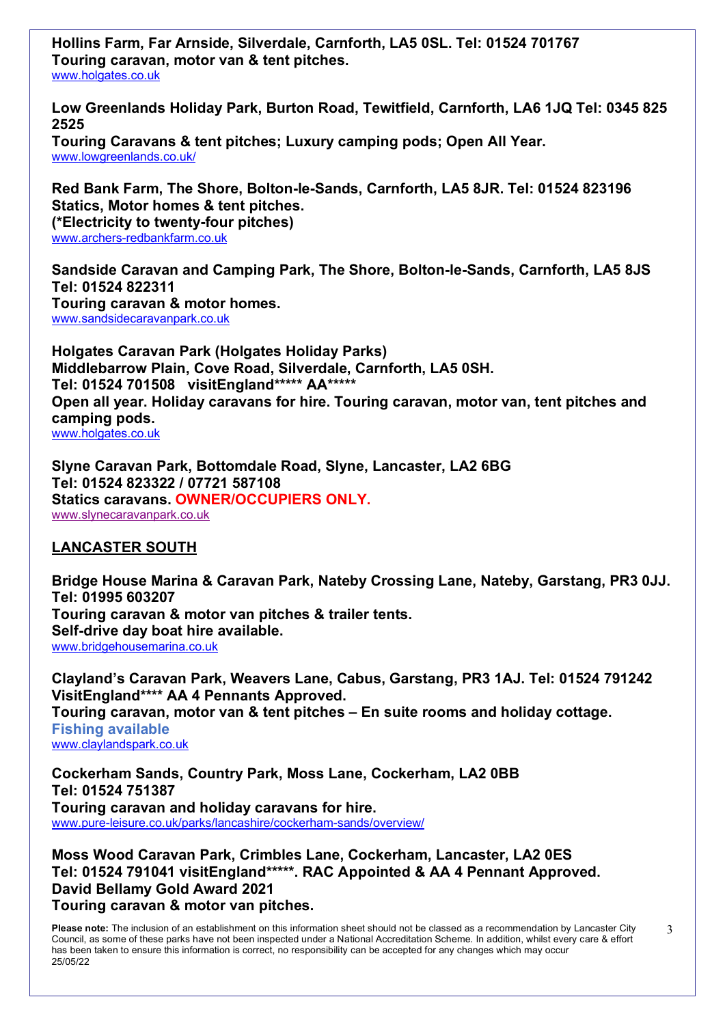**Hollins Farm, Far Arnside, Silverdale, Carnforth, LA5 0SL. Tel: 01524 701767 Touring caravan, motor van & tent pitches.** [www.holgates.co.uk](http://www.holgates.co.uk/)

**Low Greenlands Holiday Park, Burton Road, Tewitfield, Carnforth, LA6 1JQ Tel: 0345 825 2525 Touring Caravans & tent pitches; Luxury camping pods; Open All Year.** www.lowgreenlands.co.uk/

**Red Bank Farm, The Shore, Bolton-le-Sands, Carnforth, LA5 8JR. Tel: 01524 823196 Statics, Motor homes & tent pitches. (\*Electricity to twenty-four pitches)**  www.archers-redbankfarm.co.uk

**Sandside Caravan and Camping Park, The Shore, Bolton-le-Sands, Carnforth, LA5 8JS Tel: 01524 822311 Touring caravan & motor homes.**  [www.sandsidecaravanpark.co.uk](http://www.sandsidecaravanpark.co.uk/)

**Holgates Caravan Park (Holgates Holiday Parks) Middlebarrow Plain, Cove Road, Silverdale, Carnforth, LA5 0SH. Tel: 01524 701508 visitEngland\*\*\*\*\* AA\*\*\*\*\* Open all year. Holiday caravans for hire. Touring caravan, motor van, tent pitches and camping pods.** [www.holgates.co.uk](http://www.holgates.co.uk/)

**Slyne Caravan Park, Bottomdale Road, Slyne, Lancaster, LA2 6BG Tel: 01524 823322 / 07721 587108 Statics caravans. OWNER/OCCUPIERS ONLY.** [www.slynecaravanpark.co.uk](http://www.slynecaravanpark.co.uk/)

# **LANCASTER SOUTH**

**Bridge House Marina & Caravan Park, Nateby Crossing Lane, Nateby, Garstang, PR3 0JJ. Tel: 01995 603207 Touring caravan & motor van pitches & trailer tents. Self-drive day boat hire available.** [www.bridgehousemarina.co.uk](http://www.bridgehousemarina.co.uk/)

**Clayland's Caravan Park, Weavers Lane, Cabus, Garstang, PR3 1AJ. Tel: 01524 791242 VisitEngland\*\*\*\* AA 4 Pennants Approved. Touring caravan, motor van & tent pitches – En suite rooms and holiday cottage. Fishing available**  [www.claylandspark.co.uk](http://www.claylandspark.co.uk/)

**Cockerham Sands, Country Park, Moss Lane, Cockerham, LA2 0BB Tel: 01524 751387 Touring caravan and holiday caravans for hire.**  www.pure-leisure.co.uk/parks/lancashire/cockerham-sands/overview/

**Moss Wood Caravan Park, Crimbles Lane, Cockerham, Lancaster, LA2 0ES Tel: 01524 791041 visitEngland\*\*\*\*\*. RAC Appointed & AA 4 Pennant Approved. David Bellamy Gold Award 2021 Touring caravan & motor van pitches.** 

**Please note:** The inclusion of an establishment on this information sheet should not be classed as a recommendation by Lancaster City Council, as some of these parks have not been inspected under a National Accreditation Scheme. In addition, whilst every care & effort has been taken to ensure this information is correct, no responsibility can be accepted for any changes which may occur 25/05/22

3